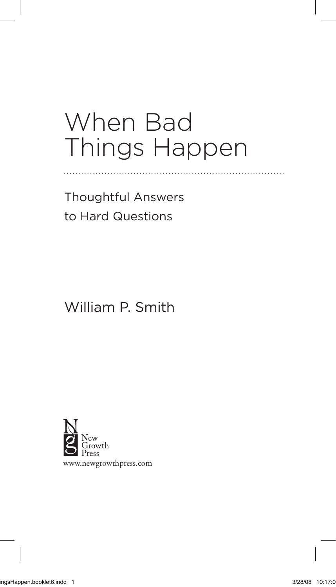## When Bad Things Happen

Thoughtful Answers to Hard Questions

## William P. Smith

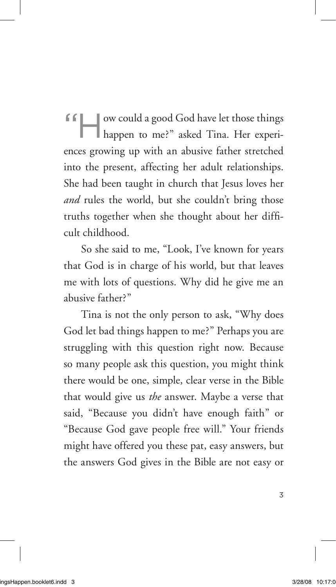"How could a good God have let those things happen to me?" asked Tina. Her experiences growing up with an abusive father stretched into the present, affecting her adult relationships. She had been taught in church that Jesus loves her *and* rules the world, but she couldn't bring those truths together when she thought about her difficult childhood.

So she said to me, "Look, I've known for years that God is in charge of his world, but that leaves me with lots of questions. Why did he give me an abusive father?"

Tina is not the only person to ask, "Why does God let bad things happen to me?" Perhaps you are struggling with this question right now. Because so many people ask this question, you might think there would be one, simple, clear verse in the Bible that would give us *the* answer. Maybe a verse that said, "Because you didn't have enough faith" or "Because God gave people free will." Your friends might have offered you these pat, easy answers, but the answers God gives in the Bible are not easy or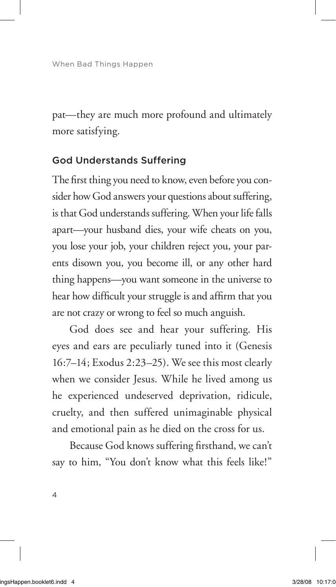pat—they are much more profound and ultimately more satisfying.

## God Understands Suffering

The first thing you need to know, even before you consider how God answers your questions about suffering, is that God understands suffering. When your life falls apart—your husband dies, your wife cheats on you, you lose your job, your children reject you, your parents disown you, you become ill, or any other hard thing happens—you want someone in the universe to hear how difficult your struggle is and affirm that you are not crazy or wrong to feel so much anguish.

God does see and hear your suffering. His eyes and ears are peculiarly tuned into it (Genesis 16:7–14; Exodus 2:23–25). We see this most clearly when we consider Jesus. While he lived among us he experienced undeserved deprivation, ridicule, cruelty, and then suffered unimaginable physical and emotional pain as he died on the cross for us.

Because God knows suffering firsthand, we can't say to him, "You don't know what this feels like!"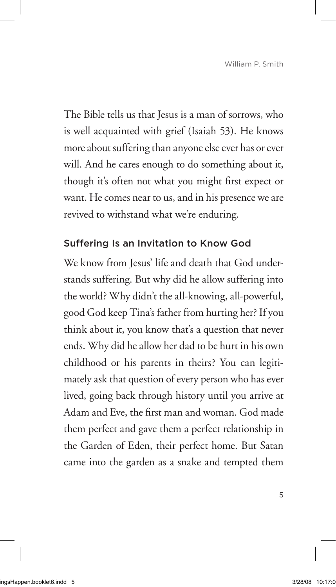The Bible tells us that Jesus is a man of sorrows, who is well acquainted with grief (Isaiah 53). He knows more about suffering than anyone else ever has or ever will. And he cares enough to do something about it, though it's often not what you might first expect or want. He comes near to us, and in his presence we are revived to withstand what we're enduring.

## Suffering Is an Invitation to Know God

We know from Jesus' life and death that God understands suffering. But why did he allow suffering into the world? Why didn't the all-knowing, all-powerful, good God keep Tina's father from hurting her? If you think about it, you know that's a question that never ends. Why did he allow her dad to be hurt in his own childhood or his parents in theirs? You can legitimately ask that question of every person who has ever lived, going back through history until you arrive at Adam and Eve, the first man and woman. God made them perfect and gave them a perfect relationship in the Garden of Eden, their perfect home. But Satan came into the garden as a snake and tempted them